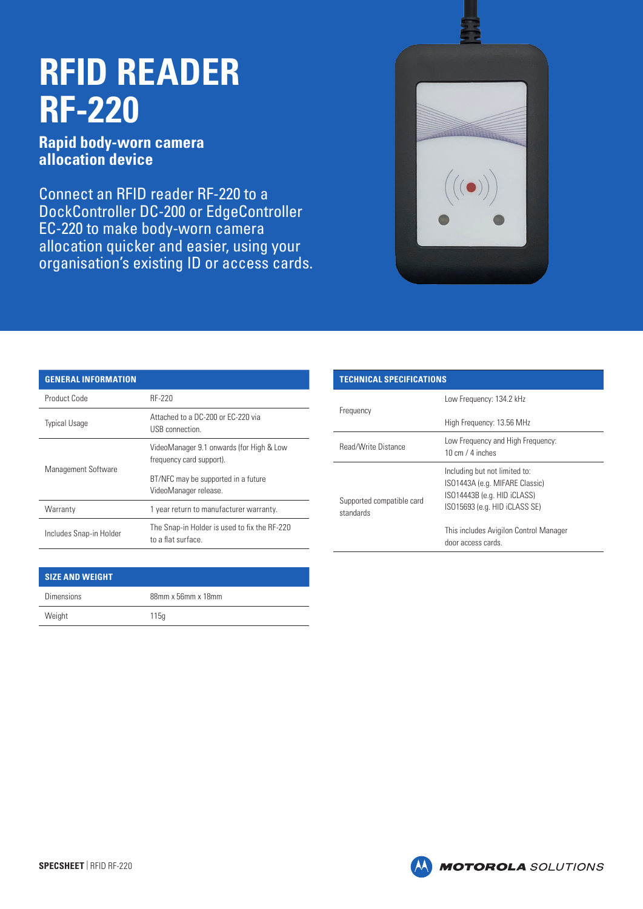## **RFID READER RF-220**

**Rapid body-worn camera allocation device**

Connect an RFID reader RF-220 to a DockController DC-200 or EdgeController EC-220 to make body-worn camera allocation quicker and easier, using your organisation's existing ID or access cards.



## **GENERAL INFORMATION**

| Product Code            | RF-220                                                               |
|-------------------------|----------------------------------------------------------------------|
| <b>Typical Usage</b>    | Attached to a DC-200 or EC-220 via<br>USB connection.                |
| Management Software     | VideoManager 9.1 onwards (for High & Low<br>frequency card support). |
|                         | BT/NFC may be supported in a future<br>VideoManager release.         |
| Warranty                | 1 year return to manufacturer warranty.                              |
| Includes Snap-in Holder | The Snap-in Holder is used to fix the RF-220<br>to a flat surface.   |

| <b>SIZE AND WEIGHT</b> |                    |
|------------------------|--------------------|
| <b>Dimensions</b>      | 88mm x 56mm x 18mm |
| Weight                 | 115q               |

## **TECHNICAL SPECIFICATIONS** Frequency Low Frequency: 134.2 kHz High Frequency: 13.56 MHz Read/Write Distance Low Frequency and High Frequency: 10 cm / 4 inches Supported compatible card standards Including but not limited to: ISO1443A (e.g. MIFARE Classic) ISO14443B (e.g. HID iCLASS) ISO15693 (e.g. HID iCLASS SE) This includes Avigilon Control Manager door access cards.